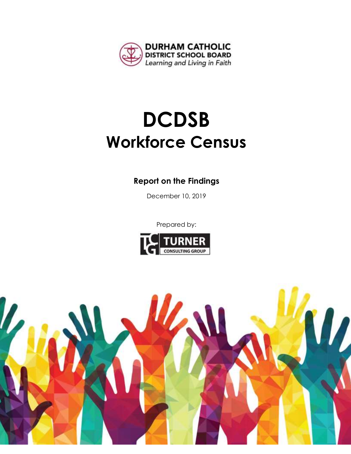

# **DCDSB Workforce Census**

# **Report on the Findings**

December 10, 2019

Prepared by:



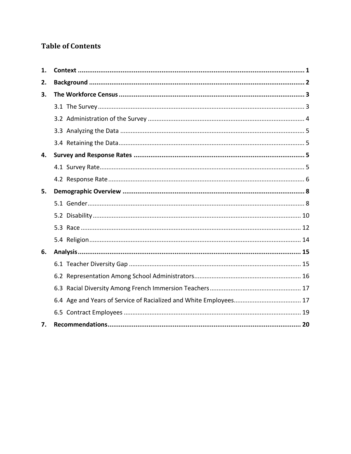# **Table of Contents**

| 1. |  |
|----|--|
| 2. |  |
| 3. |  |
|    |  |
|    |  |
|    |  |
|    |  |
| 4. |  |
|    |  |
|    |  |
| 5. |  |
|    |  |
|    |  |
|    |  |
|    |  |
| 6. |  |
|    |  |
|    |  |
|    |  |
|    |  |
|    |  |
| 7. |  |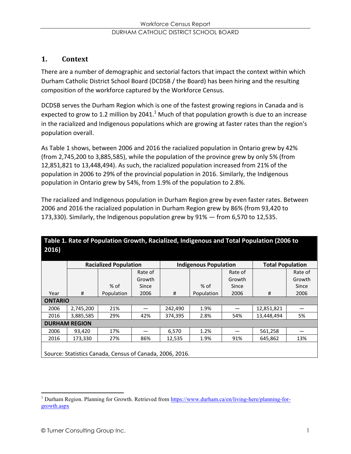# **1. Context**

There are a number of demographic and sectorial factors that impact the context within which Durham Catholic District School Board (DCDSB / the Board) has been hiring and the resulting composition of the workforce captured by the Workforce Census.

DCDSB serves the Durham Region which is one of the fastest growing regions in Canada and is expected to grow to 1.2 million by 2041.<sup>1</sup> Much of that population growth is due to an increase in the racialized and Indigenous populations which are growing at faster rates than the region's population overall.

As Table 1 shows, between 2006 and 2016 the racialized population in Ontario grew by 42% (from 2,745,200 to 3,885,585), while the population of the province grew by only 5% (from 12,851,821 to 13,448,494). As such, the racialized population increased from 21% of the population in 2006 to 29% of the provincial population in 2016. Similarly, the Indigenous population in Ontario grew by 54%, from 1.9% of the population to 2.8%.

The racialized and Indigenous population in Durham Region grew by even faster rates. Between 2006 and 2016 the racialized population in Durham Region grew by 86% (from 93,420 to 173,330). Similarly, the Indigenous population grew by  $91\%$  – from 6,570 to 12,535.

|                                                          | <b>Racialized Population</b> |            |         | <b>Indigenous Population</b> |            |         | <b>Total Population</b> |         |
|----------------------------------------------------------|------------------------------|------------|---------|------------------------------|------------|---------|-------------------------|---------|
|                                                          |                              |            | Rate of |                              |            | Rate of |                         | Rate of |
|                                                          |                              |            | Growth  |                              |            | Growth  |                         | Growth  |
|                                                          |                              | $%$ of     | Since   |                              | $%$ of     | Since   |                         | Since   |
| Year                                                     | #                            | Population | 2006    | #                            | Population | 2006    | #                       | 2006    |
| <b>ONTARIO</b>                                           |                              |            |         |                              |            |         |                         |         |
| 2006                                                     | 2,745,200                    | 21%        |         | 242,490                      | 1.9%       |         | 12,851,821              |         |
| 2016                                                     | 3,885,585                    | 29%        | 42%     | 374,395                      | 2.8%       | 54%     | 13,448,494              | 5%      |
|                                                          | <b>DURHAM REGION</b>         |            |         |                              |            |         |                         |         |
| 2006                                                     | 93.420                       | 17%        |         | 6.570                        | 1.2%       |         | 561,258                 |         |
| 2016                                                     | 173,330                      | 27%        | 86%     | 12,535                       | 1.9%       | 91%     | 645,862                 | 13%     |
| Source: Statistics Canada, Census of Canada, 2006, 2016. |                              |            |         |                              |            |         |                         |         |

# **Table 1. Rate of Population Growth, Racialized, Indigenous and Total Population (2006 to 2016)**

<sup>&</sup>lt;sup>1</sup> Durham Region. Planning for Growth. Retrieved from https://www.durham.ca/en/living-here/planning-forgrowth.aspx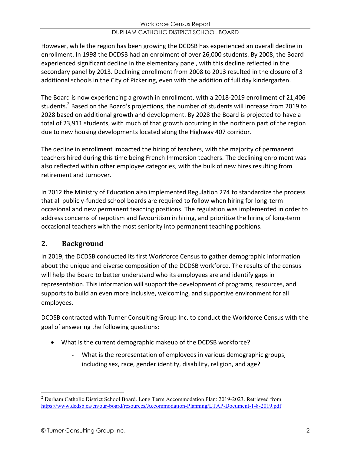However, while the region has been growing the DCDSB has experienced an overall decline in enrollment. In 1998 the DCDSB had an enrolment of over 26,000 students. By 2008, the Board experienced significant decline in the elementary panel, with this decline reflected in the secondary panel by 2013. Declining enrollment from 2008 to 2013 resulted in the closure of 3 additional schools in the City of Pickering, even with the addition of full day kindergarten.

The Board is now experiencing a growth in enrollment, with a 2018-2019 enrollment of 21,406 students. <sup>2</sup> Based on the Board's projections, the number of students will increase from 2019 to 2028 based on additional growth and development. By 2028 the Board is projected to have a total of 23,911 students, with much of that growth occurring in the northern part of the region due to new housing developments located along the Highway 407 corridor.

The decline in enrollment impacted the hiring of teachers, with the majority of permanent teachers hired during this time being French Immersion teachers. The declining enrolment was also reflected within other employee categories, with the bulk of new hires resulting from retirement and turnover.

In 2012 the Ministry of Education also implemented Regulation 274 to standardize the process that all publicly-funded school boards are required to follow when hiring for long-term occasional and new permanent teaching positions. The regulation was implemented in order to address concerns of nepotism and favouritism in hiring, and prioritize the hiring of long-term occasional teachers with the most seniority into permanent teaching positions.

# **2. Background**

In 2019, the DCDSB conducted its first Workforce Census to gather demographic information about the unique and diverse composition of the DCDSB workforce. The results of the census will help the Board to better understand who its employees are and identify gaps in representation. This information will support the development of programs, resources, and supports to build an even more inclusive, welcoming, and supportive environment for all employees.

DCDSB contracted with Turner Consulting Group Inc. to conduct the Workforce Census with the goal of answering the following questions:

- What is the current demographic makeup of the DCDSB workforce?
	- What is the representation of employees in various demographic groups, including sex, race, gender identity, disability, religion, and age?

<sup>2</sup> Durham Catholic District School Board. Long Term Accommodation Plan: 2019-2023. Retrieved from https://www.dcdsb.ca/en/our-board/resources/Accommodation-Planning/LTAP-Document-1-8-2019.pdf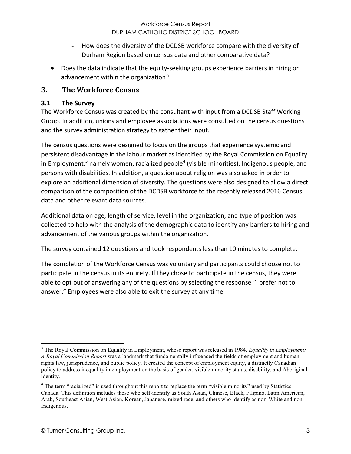- How does the diversity of the DCDSB workforce compare with the diversity of Durham Region based on census data and other comparative data?
- Does the data indicate that the equity-seeking groups experience barriers in hiring or advancement within the organization?

# **3. The Workforce Census**

# **3.1 The Survey**

The Workforce Census was created by the consultant with input from a DCDSB Staff Working Group. In addition, unions and employee associations were consulted on the census questions and the survey administration strategy to gather their input.

The census questions were designed to focus on the groups that experience systemic and persistent disadvantage in the labour market as identified by the Royal Commission on Equality in Employment, $3$  namely women, racialized people<sup>4</sup> (visible minorities), Indigenous people, and persons with disabilities. In addition, a question about religion was also asked in order to explore an additional dimension of diversity. The questions were also designed to allow a direct comparison of the composition of the DCDSB workforce to the recently released 2016 Census data and other relevant data sources.

Additional data on age, length of service, level in the organization, and type of position was collected to help with the analysis of the demographic data to identify any barriers to hiring and advancement of the various groups within the organization.

The survey contained 12 questions and took respondents less than 10 minutes to complete.

The completion of the Workforce Census was voluntary and participants could choose not to participate in the census in its entirety. If they chose to participate in the census, they were able to opt out of answering any of the questions by selecting the response "I prefer not to answer." Employees were also able to exit the survey at any time.

<sup>3</sup> The Royal Commission on Equality in Employment, whose report was released in 1984. *Equality in Employment: A Royal Commission Report* was a landmark that fundamentally influenced the fields of employment and human rights law, jurisprudence, and public policy. It created the concept of employment equity, a distinctly Canadian policy to address inequality in employment on the basis of gender, visible minority status, disability, and Aboriginal identity.

<sup>&</sup>lt;sup>4</sup> The term "racialized" is used throughout this report to replace the term "visible minority" used by Statistics Canada. This definition includes those who self-identify as South Asian, Chinese, Black, Filipino, Latin American, Arab, Southeast Asian, West Asian, Korean, Japanese, mixed race, and others who identify as non-White and non-Indigenous.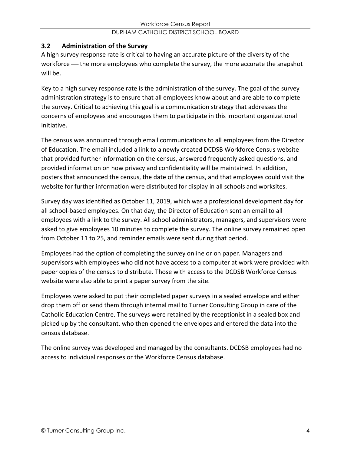# **3.2 Administration of the Survey**

A high survey response rate is critical to having an accurate picture of the diversity of the workforce – the more employees who complete the survey, the more accurate the snapshot will be.

Key to a high survey response rate is the administration of the survey. The goal of the survey administration strategy is to ensure that all employees know about and are able to complete the survey. Critical to achieving this goal is a communication strategy that addresses the concerns of employees and encourages them to participate in this important organizational initiative.

The census was announced through email communications to all employees from the Director of Education. The email included a link to a newly created DCDSB Workforce Census website that provided further information on the census, answered frequently asked questions, and provided information on how privacy and confidentiality will be maintained. In addition, posters that announced the census, the date of the census, and that employees could visit the website for further information were distributed for display in all schools and worksites.

Survey day was identified as October 11, 2019, which was a professional development day for all school-based employees. On that day, the Director of Education sent an email to all employees with a link to the survey. All school administrators, managers, and supervisors were asked to give employees 10 minutes to complete the survey. The online survey remained open from October 11 to 25, and reminder emails were sent during that period.

Employees had the option of completing the survey online or on paper. Managers and supervisors with employees who did not have access to a computer at work were provided with paper copies of the census to distribute. Those with access to the DCDSB Workforce Census website were also able to print a paper survey from the site.

Employees were asked to put their completed paper surveys in a sealed envelope and either drop them off or send them through internal mail to Turner Consulting Group in care of the Catholic Education Centre. The surveys were retained by the receptionist in a sealed box and picked up by the consultant, who then opened the envelopes and entered the data into the census database.

The online survey was developed and managed by the consultants. DCDSB employees had no access to individual responses or the Workforce Census database.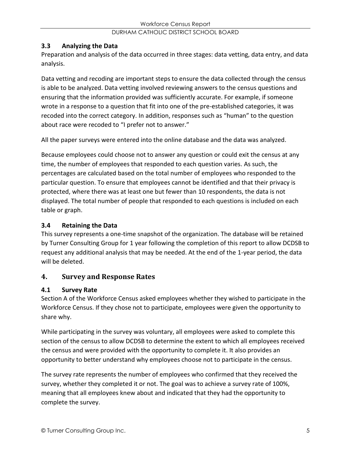# **3.3 Analyzing the Data**

Preparation and analysis of the data occurred in three stages: data vetting, data entry, and data analysis.

Data vetting and recoding are important steps to ensure the data collected through the census is able to be analyzed. Data vetting involved reviewing answers to the census questions and ensuring that the information provided was sufficiently accurate. For example, if someone wrote in a response to a question that fit into one of the pre-established categories, it was recoded into the correct category. In addition, responses such as "human" to the question about race were recoded to "I prefer not to answer."

All the paper surveys were entered into the online database and the data was analyzed.

Because employees could choose not to answer any question or could exit the census at any time, the number of employees that responded to each question varies. As such, the percentages are calculated based on the total number of employees who responded to the particular question. To ensure that employees cannot be identified and that their privacy is protected, where there was at least one but fewer than 10 respondents, the data is not displayed. The total number of people that responded to each questions is included on each table or graph.

### **3.4 Retaining the Data**

This survey represents a one-time snapshot of the organization. The database will be retained by Turner Consulting Group for 1 year following the completion of this report to allow DCDSB to request any additional analysis that may be needed. At the end of the 1-year period, the data will be deleted.

# **4. Survey and Response Rates**

# **4.1 Survey Rate**

Section A of the Workforce Census asked employees whether they wished to participate in the Workforce Census. If they chose not to participate, employees were given the opportunity to share why.

While participating in the survey was voluntary, all employees were asked to complete this section of the census to allow DCDSB to determine the extent to which all employees received the census and were provided with the opportunity to complete it. It also provides an opportunity to better understand why employees choose not to participate in the census.

The survey rate represents the number of employees who confirmed that they received the survey, whether they completed it or not. The goal was to achieve a survey rate of 100%, meaning that all employees knew about and indicated that they had the opportunity to complete the survey.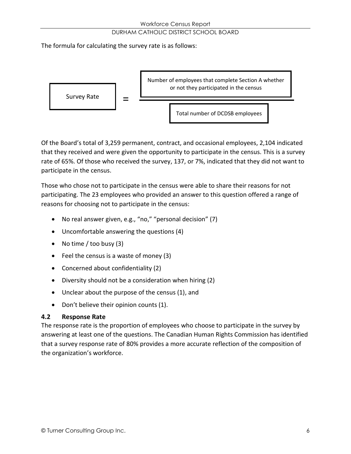The formula for calculating the survey rate is as follows:



Of the Board's total of 3,259 permanent, contract, and occasional employees, 2,104 indicated that they received and were given the opportunity to participate in the census. This is a survey rate of 65%. Of those who received the survey, 137, or 7%, indicated that they did not want to participate in the census.

Those who chose not to participate in the census were able to share their reasons for not participating. The 23 employees who provided an answer to this question offered a range of reasons for choosing not to participate in the census:

- No real answer given, e.g., "no," "personal decision" (7)
- $\bullet$  Uncomfortable answering the questions (4)
- No time / too busy  $(3)$
- $\bullet$  Feel the census is a waste of money (3)
- Concerned about confidentiality  $(2)$
- Diversity should not be a consideration when hiring (2)
- $\bullet$  Unclear about the purpose of the census (1), and
- Don't believe their opinion counts (1).

#### **4.2 Response Rate**

The response rate is the proportion of employees who choose to participate in the survey by answering at least one of the questions. The Canadian Human Rights Commission has identified that a survey response rate of 80% provides a more accurate reflection of the composition of the organization's workforce.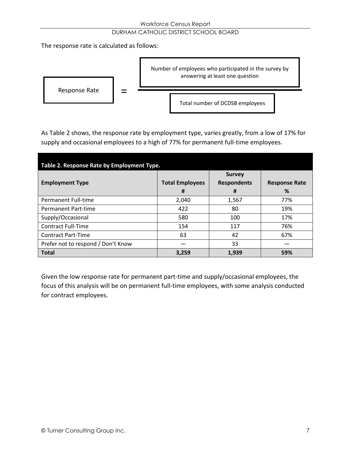#### Workforce Census Report

#### DURHAM CATHOLIC DISTRICT SCHOOL BOARD

The response rate is calculated as follows:



As Table 2 shows, the response rate by employment type, varies greatly, from a low of 17% for supply and occasional employees to a high of 77% for permanent full-time employees.

| Table 2. Response Rate by Employment Type. |                             |                                          |                           |  |  |
|--------------------------------------------|-----------------------------|------------------------------------------|---------------------------|--|--|
| <b>Employment Type</b>                     | <b>Total Employees</b><br># | <b>Survey</b><br><b>Respondents</b><br># | <b>Response Rate</b><br>% |  |  |
| Permanent Full-time                        | 2.040                       | 1,567                                    | 77%                       |  |  |
| Permanent Part-time                        | 422                         | 80                                       | 19%                       |  |  |
| Supply/Occasional                          | 580                         | 100                                      | 17%                       |  |  |
| <b>Contract Full-Time</b>                  | 154                         | 117                                      | 76%                       |  |  |
| <b>Contract Part-Time</b>                  | 63                          | 42                                       | 67%                       |  |  |
| Prefer not to respond / Don't Know         |                             | 33                                       |                           |  |  |
| <b>Total</b>                               | 3,259                       | 1.939                                    | 59%                       |  |  |

Given the low response rate for permanent part-time and supply/occasional employees, the focus of this analysis will be on permanent full-time employees, with some analysis conducted for contract employees.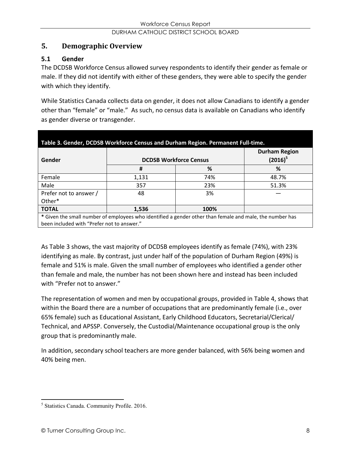# **5. Demographic Overview**

# **5.1 Gender**

The DCDSB Workforce Census allowed survey respondents to identify their gender as female or male. If they did not identify with either of these genders, they were able to specify the gender with which they identify.

While Statistics Canada collects data on gender, it does not allow Canadians to identify a gender other than "female" or "male." As such, no census data is available on Canadians who identify as gender diverse or transgender.

| Table 3. Gender, DCDSB Workforce Census and Durham Region. Permanent Full-time.                          |                               |                                    |       |  |
|----------------------------------------------------------------------------------------------------------|-------------------------------|------------------------------------|-------|--|
| Gender                                                                                                   | <b>DCDSB Workforce Census</b> | <b>Durham Region</b><br>$(2016)^5$ |       |  |
|                                                                                                          | #                             | %                                  | %     |  |
| Female                                                                                                   | 1,131                         | 74%                                | 48.7% |  |
| Male                                                                                                     | 357                           | 23%                                | 51.3% |  |
| Prefer not to answer /                                                                                   | 48                            | 3%                                 |       |  |
| Other*                                                                                                   |                               |                                    |       |  |
| 100%<br><b>TOTAL</b><br>1,536                                                                            |                               |                                    |       |  |
| * Given the small number of employees who identified a gender other than female and male, the number has |                               |                                    |       |  |
| been included with "Prefer not to answer."                                                               |                               |                                    |       |  |

As Table 3 shows, the vast majority of DCDSB employees identify as female (74%), with 23% identifying as male. By contrast, just under half of the population of Durham Region (49%) is female and 51% is male. Given the small number of employees who identified a gender other than female and male, the number has not been shown here and instead has been included with "Prefer not to answer."

The representation of women and men by occupational groups, provided in Table 4, shows that within the Board there are a number of occupations that are predominantly female (i.e., over 65% female) such as Educational Assistant, Early Childhood Educators, Secretarial/Clerical/ Technical, and APSSP. Conversely, the Custodial/Maintenance occupational group is the only group that is predominantly male.

In addition, secondary school teachers are more gender balanced, with 56% being women and 40% being men.

<sup>5</sup> Statistics Canada. Community Profile. 2016.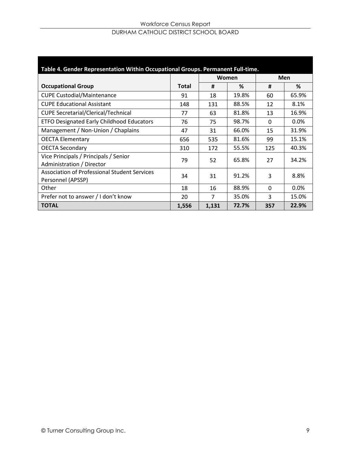#### Workforce Census Report DURHAM CATHOLIC DISTRICT SCHOOL BOARD

| Table 4. Gender Representation Within Occupational Groups. Permanent Full-time. |              |       |       |          |            |
|---------------------------------------------------------------------------------|--------------|-------|-------|----------|------------|
|                                                                                 |              |       | Women |          | <b>Men</b> |
| <b>Occupational Group</b>                                                       | <b>Total</b> | #     | %     | #        | %          |
| <b>CUPE Custodial/Maintenance</b>                                               | 91           | 18    | 19.8% | 60       | 65.9%      |
| <b>CUPE Educational Assistant</b>                                               | 148          | 131   | 88.5% | 12       | 8.1%       |
| <b>CUPE Secretarial/Clerical/Technical</b>                                      | 77           | 63    | 81.8% | 13       | 16.9%      |
| <b>ETFO Designated Early Childhood Educators</b>                                | 76           | 75    | 98.7% | $\Omega$ | 0.0%       |
| Management / Non-Union / Chaplains                                              | 47           | 31    | 66.0% | 15       | 31.9%      |
| <b>OECTA Elementary</b>                                                         | 656          | 535   | 81.6% | 99       | 15.1%      |
| <b>OECTA Secondary</b>                                                          | 310          | 172   | 55.5% | 125      | 40.3%      |
| Vice Principals / Principals / Senior<br>Administration / Director              | 79           | 52    | 65.8% | 27       | 34.2%      |
| <b>Association of Professional Student Services</b><br>Personnel (APSSP)        | 34           | 31    | 91.2% | 3        | 8.8%       |
| Other                                                                           | 18           | 16    | 88.9% | $\Omega$ | $0.0\%$    |
| Prefer not to answer / I don't know                                             | 20           | 7     | 35.0% | 3        | 15.0%      |
| <b>TOTAL</b>                                                                    | 1,556        | 1,131 | 72.7% | 357      | 22.9%      |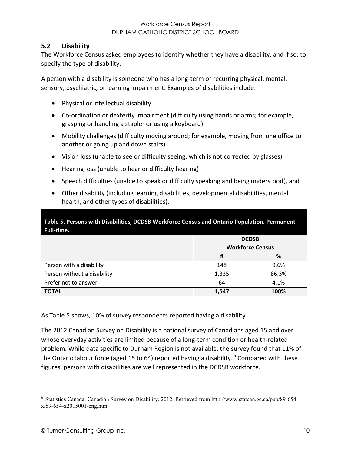### **5.2 Disability**

The Workforce Census asked employees to identify whether they have a disability, and if so, to specify the type of disability.

A person with a disability is someone who has a long-term or recurring physical, mental, sensory, psychiatric, or learning impairment. Examples of disabilities include:

- Physical or intellectual disability
- Co-ordination or dexterity impairment (difficulty using hands or arms; for example, grasping or handling a stapler or using a keyboard)
- Mobility challenges (difficulty moving around; for example, moving from one office to another or going up and down stairs)
- Vision loss (unable to see or difficulty seeing, which is not corrected by glasses)
- Hearing loss (unable to hear or difficulty hearing)
- Speech difficulties (unable to speak or difficulty speaking and being understood), and
- Other disability (including learning disabilities, developmental disabilities, mental health, and other types of disabilities).

**Table 5. Persons with Disabilities, DCDSB Workforce Census and Ontario Population. Permanent Full-time.**

|                             |                         | <b>DCDSB</b> |
|-----------------------------|-------------------------|--------------|
|                             | <b>Workforce Census</b> |              |
|                             | Ħ                       | %            |
| Person with a disability    | 148                     | 9.6%         |
| Person without a disability | 1,335                   | 86.3%        |
| Prefer not to answer        | 64                      | 4.1%         |
| <b>TOTAL</b>                | 1,547                   | 100%         |

As Table 5 shows, 10% of survey respondents reported having a disability.

The 2012 Canadian Survey on Disability is a national survey of Canadians aged 15 and over whose everyday activities are limited because of a long-term condition or health-related problem. While data specific to Durham Region is not available, the survey found that 11% of the Ontario labour force (aged 15 to 64) reported having a disability. <sup>6</sup> Compared with these figures, persons with disabilities are well represented in the DCDSB workforce.

<sup>6</sup> Statistics Canada. Canadian Survey on Disability. 2012. Retrieved from http://www.statcan.gc.ca/pub/89-654 x/89-654-x2015001-eng.htm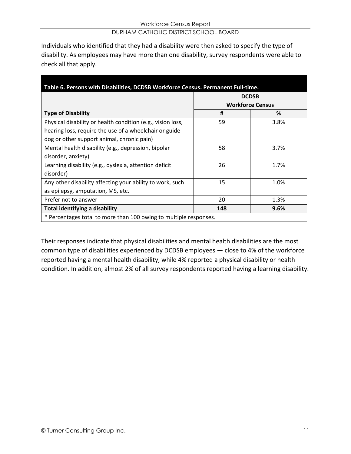Individuals who identified that they had a disability were then asked to specify the type of disability. As employees may have more than one disability, survey respondents were able to check all that apply.

| Table 6. Persons with Disabilities, DCDSB Workforce Census. Permanent Full-time. |     |                         |  |  |
|----------------------------------------------------------------------------------|-----|-------------------------|--|--|
|                                                                                  |     | <b>DCDSB</b>            |  |  |
|                                                                                  |     | <b>Workforce Census</b> |  |  |
| <b>Type of Disability</b>                                                        | #   | %                       |  |  |
| Physical disability or health condition (e.g., vision loss,                      | 59  | 3.8%                    |  |  |
| hearing loss, require the use of a wheelchair or guide                           |     |                         |  |  |
| dog or other support animal, chronic pain)                                       |     |                         |  |  |
| Mental health disability (e.g., depression, bipolar                              | 58  | 3.7%                    |  |  |
| disorder, anxiety)                                                               |     |                         |  |  |
| Learning disability (e.g., dyslexia, attention deficit                           | 26  | 1.7%                    |  |  |
| disorder)                                                                        |     |                         |  |  |
| Any other disability affecting your ability to work, such                        | 15  | 1.0%                    |  |  |
| as epilepsy, amputation, MS, etc.                                                |     |                         |  |  |
| Prefer not to answer                                                             | 20  | 1.3%                    |  |  |
| Total identifying a disability                                                   | 148 | 9.6%                    |  |  |
| * Percentages total to more than 100 owing to multiple responses.                |     |                         |  |  |

Their responses indicate that physical disabilities and mental health disabilities are the most common type of disabilities experienced by DCDSB employees - close to 4% of the workforce reported having a mental health disability, while 4% reported a physical disability or health condition. In addition, almost 2% of all survey respondents reported having a learning disability.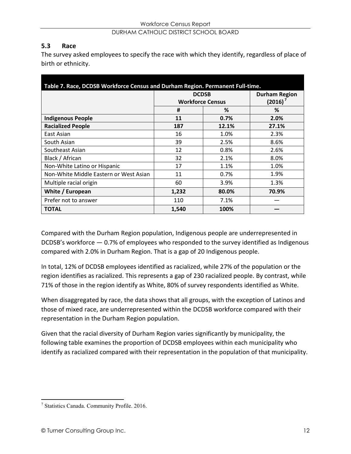#### **5.3 Race**

The survey asked employees to specify the race with which they identify, regardless of place of birth or ethnicity.

| Table 7. Race, DCDSB Workforce Census and Durham Region. Permanent Full-time. |                         |              |       |  |
|-------------------------------------------------------------------------------|-------------------------|--------------|-------|--|
|                                                                               |                         | <b>DCDSB</b> |       |  |
|                                                                               | <b>Workforce Census</b> | $(2016)^7$   |       |  |
|                                                                               | #                       | %            | %     |  |
| <b>Indigenous People</b>                                                      | 11                      | 0.7%         | 2.0%  |  |
| <b>Racialized People</b>                                                      | 187                     | 12.1%        | 27.1% |  |
| East Asian                                                                    | 16                      | 1.0%         | 2.3%  |  |
| South Asian                                                                   | 39                      | 2.5%         | 8.6%  |  |
| Southeast Asian                                                               | 12                      | 0.8%         | 2.6%  |  |
| Black / African                                                               | 32                      | 2.1%         | 8.0%  |  |
| Non-White Latino or Hispanic                                                  | 17                      | 1.1%         | 1.0%  |  |
| Non-White Middle Eastern or West Asian                                        | 11                      | 0.7%         | 1.9%  |  |
| Multiple racial origin                                                        | 60                      | 3.9%         | 1.3%  |  |
| White / European                                                              | 1,232                   | 80.0%        | 70.9% |  |
| Prefer not to answer                                                          | 110                     | 7.1%         |       |  |
| <b>TOTAL</b>                                                                  | 1,540                   | 100%         |       |  |

Compared with the Durham Region population, Indigenous people are underrepresented in DCDSB's workforce  $-0.7%$  of employees who responded to the survey identified as Indigenous compared with 2.0% in Durham Region. That is a gap of 20 Indigenous people.

In total, 12% of DCDSB employees identified as racialized, while 27% of the population or the region identifies as racialized. This represents a gap of 230 racialized people. By contrast, while 71% of those in the region identify as White, 80% of survey respondents identified as White.

When disaggregated by race, the data shows that all groups, with the exception of Latinos and those of mixed race, are underrepresented within the DCDSB workforce compared with their representation in the Durham Region population.

Given that the racial diversity of Durham Region varies significantly by municipality, the following table examines the proportion of DCDSB employees within each municipality who identify as racialized compared with their representation in the population of that municipality.

<sup>7</sup> Statistics Canada. Community Profile. 2016.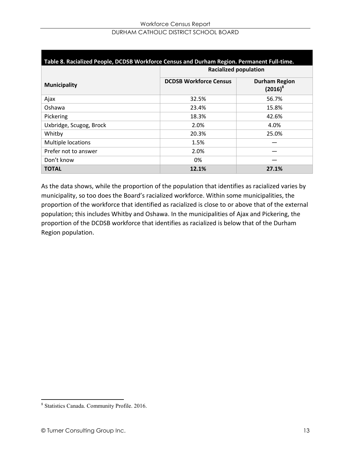| Table 8. Racialized People, DCDSB Workforce Census and Durham Region. Permanent Full-time. |                               |                                    |  |  |
|--------------------------------------------------------------------------------------------|-------------------------------|------------------------------------|--|--|
|                                                                                            | <b>Racialized population</b>  |                                    |  |  |
| <b>Municipality</b>                                                                        | <b>DCDSB Workforce Census</b> | <b>Durham Region</b><br>$(2016)^8$ |  |  |
| Ajax                                                                                       | 32.5%                         | 56.7%                              |  |  |
| Oshawa                                                                                     | 23.4%                         | 15.8%                              |  |  |
| Pickering                                                                                  | 18.3%                         | 42.6%                              |  |  |
| Uxbridge, Scugog, Brock                                                                    | 2.0%                          | 4.0%                               |  |  |
| Whitby                                                                                     | 20.3%                         | 25.0%                              |  |  |
| Multiple locations                                                                         | 1.5%                          |                                    |  |  |
| Prefer not to answer                                                                       | 2.0%                          |                                    |  |  |
| Don't know                                                                                 | 0%                            |                                    |  |  |
| <b>TOTAL</b>                                                                               | 12.1%                         | 27.1%                              |  |  |

As the data shows, while the proportion of the population that identifies as racialized varies by municipality, so too does the Board's racialized workforce. Within some municipalities, the proportion of the workforce that identified as racialized is close to or above that of the external population; this includes Whitby and Oshawa. In the municipalities of Ajax and Pickering, the proportion of the DCDSB workforce that identifies as racialized is below that of the Durham Region population.

<sup>8</sup> Statistics Canada. Community Profile. 2016.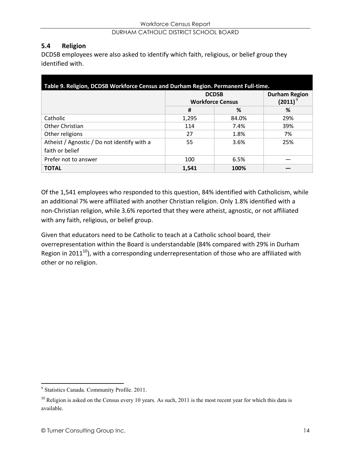#### **5.4 Religion**

DCDSB employees were also asked to identify which faith, religious, or belief group they identified with.

| Table 9. Religion, DCDSB Workforce Census and Durham Region. Permanent Full-time. |                                         |       |                                         |
|-----------------------------------------------------------------------------------|-----------------------------------------|-------|-----------------------------------------|
|                                                                                   | <b>DCDSB</b><br><b>Workforce Census</b> |       | <b>Durham Region</b><br>(2011) $^\circ$ |
|                                                                                   | #                                       | %     | ℅                                       |
| Catholic                                                                          | 1.295                                   | 84.0% | 29%                                     |
| Other Christian                                                                   | 114                                     | 7.4%  | 39%                                     |
| Other religions                                                                   | 27                                      | 1.8%  | 7%                                      |
| Atheist / Agnostic / Do not identify with a                                       | 55                                      | 3.6%  | 25%                                     |
| faith or belief                                                                   |                                         |       |                                         |
| Prefer not to answer                                                              | 100                                     | 6.5%  |                                         |
| <b>TOTAL</b>                                                                      | 1,541                                   | 100%  |                                         |

Of the 1,541 employees who responded to this question, 84% identified with Catholicism, while an additional 7% were affiliated with another Christian religion. Only 1.8% identified with a non-Christian religion, while 3.6% reported that they were atheist, agnostic, or not affiliated with any faith, religious, or belief group.

Given that educators need to be Catholic to teach at a Catholic school board, their overrepresentation within the Board is understandable (84% compared with 29% in Durham Region in 2011<sup>10</sup>), with a corresponding underrepresentation of those who are affiliated with other or no religion.

<sup>9</sup> Statistics Canada. Community Profile. 2011.

 $10$  Religion is asked on the Census every 10 years. As such, 2011 is the most recent year for which this data is available.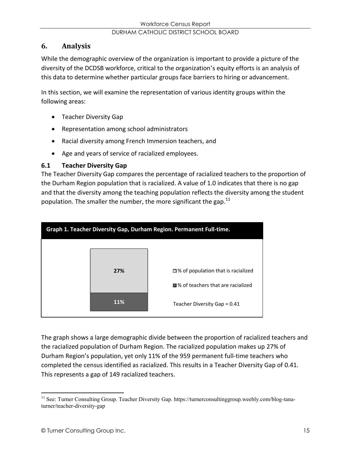# **6. Analysis**

While the demographic overview of the organization is important to provide a picture of the diversity of the DCDSB workforce, critical to the organization's equity efforts is an analysis of this data to determine whether particular groups face barriers to hiring or advancement.

In this section, we will examine the representation of various identity groups within the following areas:

- Teacher Diversity Gap
- Representation among school administrators
- Racial diversity among French Immersion teachers, and
- Age and years of service of racialized employees.

#### **6.1 Teacher Diversity Gap**

The Teacher Diversity Gap compares the percentage of racialized teachers to the proportion of the Durham Region population that is racialized. A value of 1.0 indicates that there is no gap and that the diversity among the teaching population reflects the diversity among the student population. The smaller the number, the more significant the gap.<sup>11</sup>



The graph shows a large demographic divide between the proportion of racialized teachers and the racialized population of Durham Region. The racialized population makes up 27% of Durham Region's population, yet only 11% of the 959 permanent full-time teachers who completed the census identified as racialized. This results in a Teacher Diversity Gap of 0.41. This represents a gap of 149 racialized teachers.

<sup>&</sup>lt;sup>11</sup> See: Turner Consulting Group. Teacher Diversity Gap. https://turnerconsultinggroup.weebly.com/blog-tanaturner/teacher-diversity-gap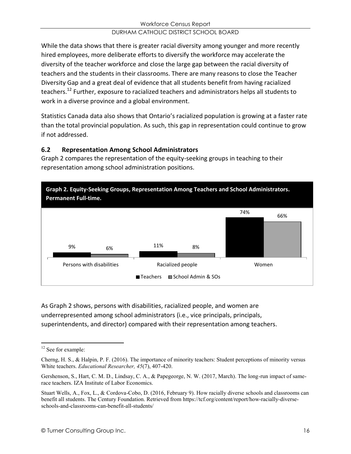While the data shows that there is greater racial diversity among younger and more recently hired employees, more deliberate efforts to diversify the workforce may accelerate the diversity of the teacher workforce and close the large gap between the racial diversity of teachers and the students in their classrooms. There are many reasons to close the Teacher Diversity Gap and a great deal of evidence that all students benefit from having racialized teachers.12 Further, exposure to racialized teachers and administrators helps all students to work in a diverse province and a global environment.

Statistics Canada data also shows that Ontario's racialized population is growing at a faster rate than the total provincial population. As such, this gap in representation could continue to grow if not addressed.

# **6.2 Representation Among School Administrators**

Graph 2 compares the representation of the equity-seeking groups in teaching to their representation among school administration positions.



As Graph 2 shows, persons with disabilities, racialized people, and women are underrepresented among school administrators (i.e., vice principals, principals, superintendents, and director) compared with their representation among teachers.

<sup>&</sup>lt;sup>12</sup> See for example:

Cherng, H. S., & Halpin, P. F. (2016). The importance of minority teachers: Student perceptions of minority versus White teachers. *Educational Researcher, 45*(7), 407-420.

Gershenson, S., Hart, C. M. D., Lindsay, C. A., & Papegeorge, N. W. (2017, March). The long-run impact of samerace teachers. IZA Institute of Labor Economics.

Stuart Wells, A., Fox, L., & Cordova-Cobo, D. (2016, February 9). How racially diverse schools and classrooms can benefit all students. The Century Foundation. Retrieved from https://tcf.org/content/report/how-racially-diverseschools-and-classrooms-can-benefit-all-students/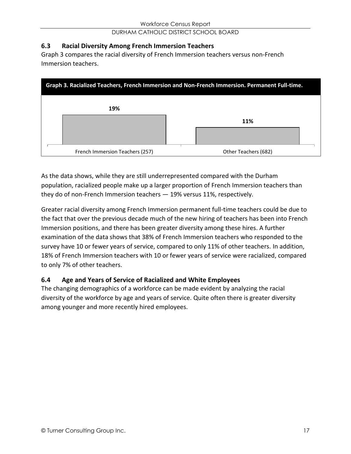#### **6.3 Racial Diversity Among French Immersion Teachers**

Graph 3 compares the racial diversity of French Immersion teachers versus non-French Immersion teachers.

| Graph 3. Racialized Teachers, French Immersion and Non-French Immersion. Permanent Full-time. |                      |  |
|-----------------------------------------------------------------------------------------------|----------------------|--|
| 19%                                                                                           |                      |  |
|                                                                                               | 11%                  |  |
|                                                                                               |                      |  |
| French Immersion Teachers (257)                                                               | Other Teachers (682) |  |

As the data shows, while they are still underrepresented compared with the Durham population, racialized people make up a larger proportion of French Immersion teachers than they do of non-French Immersion teachers  $-19%$  versus 11%, respectively.

Greater racial diversity among French Immersion permanent full-time teachers could be due to the fact that over the previous decade much of the new hiring of teachers has been into French Immersion positions, and there has been greater diversity among these hires. A further examination of the data shows that 38% of French Immersion teachers who responded to the survey have 10 or fewer years of service, compared to only 11% of other teachers. In addition, 18% of French Immersion teachers with 10 or fewer years of service were racialized, compared to only 7% of other teachers.

#### **6.4 Age and Years of Service of Racialized and White Employees**

The changing demographics of a workforce can be made evident by analyzing the racial diversity of the workforce by age and years of service. Quite often there is greater diversity among younger and more recently hired employees.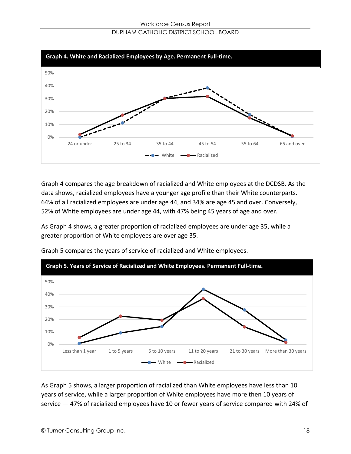

Graph 4 compares the age breakdown of racialized and White employees at the DCDSB. As the data shows, racialized employees have a younger age profile than their White counterparts. 64% of all racialized employees are under age 44, and 34% are age 45 and over. Conversely, 52% of White employees are under age 44, with 47% being 45 years of age and over.

As Graph 4 shows, a greater proportion of racialized employees are under age 35, while a greater proportion of White employees are over age 35.



Graph 5 compares the years of service of racialized and White employees.

As Graph 5 shows, a larger proportion of racialized than White employees have less than 10 years of service, while a larger proportion of White employees have more then 10 years of service  $-47%$  of racialized employees have 10 or fewer years of service compared with 24% of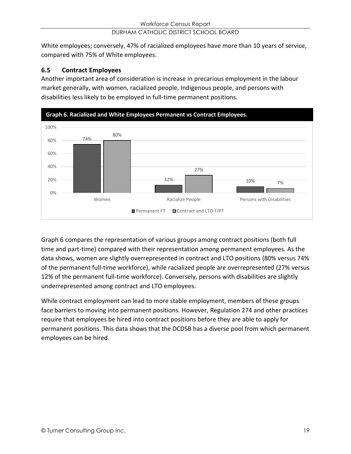White employees; conversely, 47% of racialized employees have more than 10 years of service, compared with 75% of White employees.

# **6.5 Contract Employees**

Another important area of consideration is increase in precarious employment in the labour market generally, with women, racialized people, Indigenous people, and persons with disabilities less likely to be employed in full-time permanent positions.



Graph 6 compares the representation of various groups among contract positions (both full time and part-time) compared with their representation among permanent employees. As the data shows, women are slightly overrepresented in contract and LTO positions (80% versus 74% of the permanent full-time workforce), while racialized people are overrepresented (27% versus 12% of the permanent full-time workforce). Conversely, persons with disabilities are slightly underrepresented among contract and LTO employees.

While contract employment can lead to more stable employment, members of these groups face barriers to moving into permanent positions. However, Regulation 274 and other practices require that employees be hired into contract positions before they are able to apply for permanent positions. This data shows that the DCDSB has a diverse pool from which permanent employees can be hired.